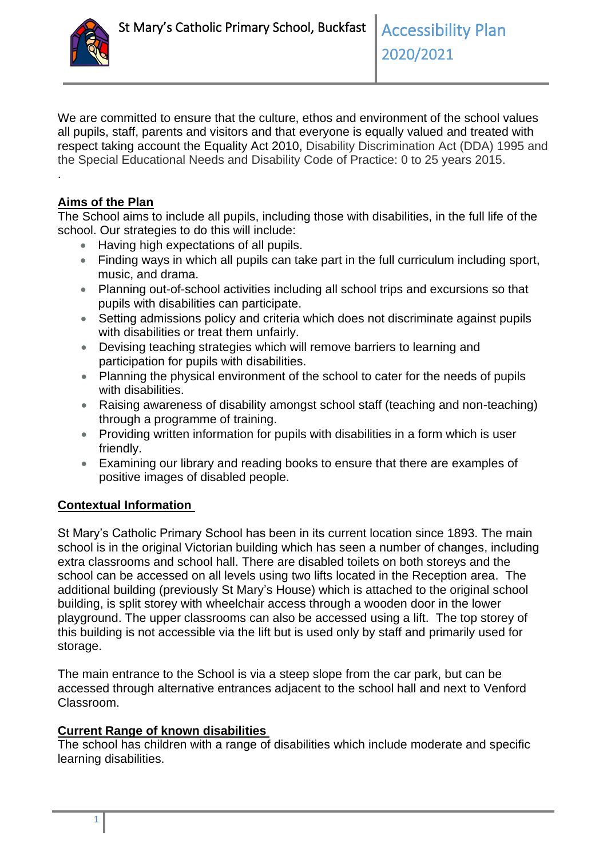

We are committed to ensure that the culture, ethos and environment of the school values all pupils, staff, parents and visitors and that everyone is equally valued and treated with respect taking account the Equality Act 2010, Disability Discrimination Act (DDA) 1995 and the Special Educational Needs and Disability Code of Practice: 0 to 25 years 2015.

#### **Aims of the Plan**

.

The School aims to include all pupils, including those with disabilities, in the full life of the school. Our strategies to do this will include:

- Having high expectations of all pupils.
- Finding ways in which all pupils can take part in the full curriculum including sport, music, and drama.
- Planning out-of-school activities including all school trips and excursions so that pupils with disabilities can participate.
- Setting admissions policy and criteria which does not discriminate against pupils with disabilities or treat them unfairly.
- Devising teaching strategies which will remove barriers to learning and participation for pupils with disabilities.
- Planning the physical environment of the school to cater for the needs of pupils with disabilities.
- Raising awareness of disability amongst school staff (teaching and non-teaching) through a programme of training.
- Providing written information for pupils with disabilities in a form which is user friendly.
- Examining our library and reading books to ensure that there are examples of positive images of disabled people.

#### **Contextual Information**

St Mary's Catholic Primary School has been in its current location since 1893. The main school is in the original Victorian building which has seen a number of changes, including extra classrooms and school hall. There are disabled toilets on both storeys and the school can be accessed on all levels using two lifts located in the Reception area. The additional building (previously St Mary's House) which is attached to the original school building, is split storey with wheelchair access through a wooden door in the lower playground. The upper classrooms can also be accessed using a lift. The top storey of this building is not accessible via the lift but is used only by staff and primarily used for storage.

The main entrance to the School is via a steep slope from the car park, but can be accessed through alternative entrances adjacent to the school hall and next to Venford Classroom.

#### **Current Range of known disabilities**

The school has children with a range of disabilities which include moderate and specific learning disabilities.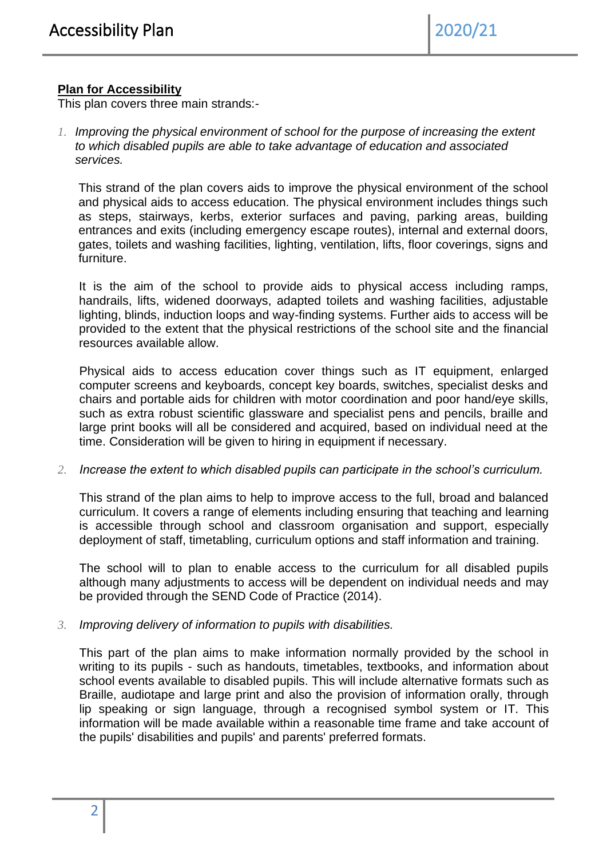#### **Plan for Accessibility**

This plan covers three main strands:-

*1. Improving the physical environment of school for the purpose of increasing the extent to which disabled pupils are able to take advantage of education and associated services.* 

This strand of the plan covers aids to improve the physical environment of the school and physical aids to access education. The physical environment includes things such as steps, stairways, kerbs, exterior surfaces and paving, parking areas, building entrances and exits (including emergency escape routes), internal and external doors, gates, toilets and washing facilities, lighting, ventilation, lifts, floor coverings, signs and furniture.

It is the aim of the school to provide aids to physical access including ramps, handrails, lifts, widened doorways, adapted toilets and washing facilities, adjustable lighting, blinds, induction loops and way-finding systems. Further aids to access will be provided to the extent that the physical restrictions of the school site and the financial resources available allow.

Physical aids to access education cover things such as IT equipment, enlarged computer screens and keyboards, concept key boards, switches, specialist desks and chairs and portable aids for children with motor coordination and poor hand/eye skills, such as extra robust scientific glassware and specialist pens and pencils, braille and large print books will all be considered and acquired, based on individual need at the time. Consideration will be given to hiring in equipment if necessary.

#### *2. Increase the extent to which disabled pupils can participate in the school's curriculum.*

This strand of the plan aims to help to improve access to the full, broad and balanced curriculum. It covers a range of elements including ensuring that teaching and learning is accessible through school and classroom organisation and support, especially deployment of staff, timetabling, curriculum options and staff information and training.

The school will to plan to enable access to the curriculum for all disabled pupils although many adjustments to access will be dependent on individual needs and may be provided through the SEND Code of Practice (2014).

*3. Improving delivery of information to pupils with disabilities.*

This part of the plan aims to make information normally provided by the school in writing to its pupils - such as handouts, timetables, textbooks, and information about school events available to disabled pupils. This will include alternative formats such as Braille, audiotape and large print and also the provision of information orally, through lip speaking or sign language, through a recognised symbol system or IT. This information will be made available within a reasonable time frame and take account of the pupils' disabilities and pupils' and parents' preferred formats.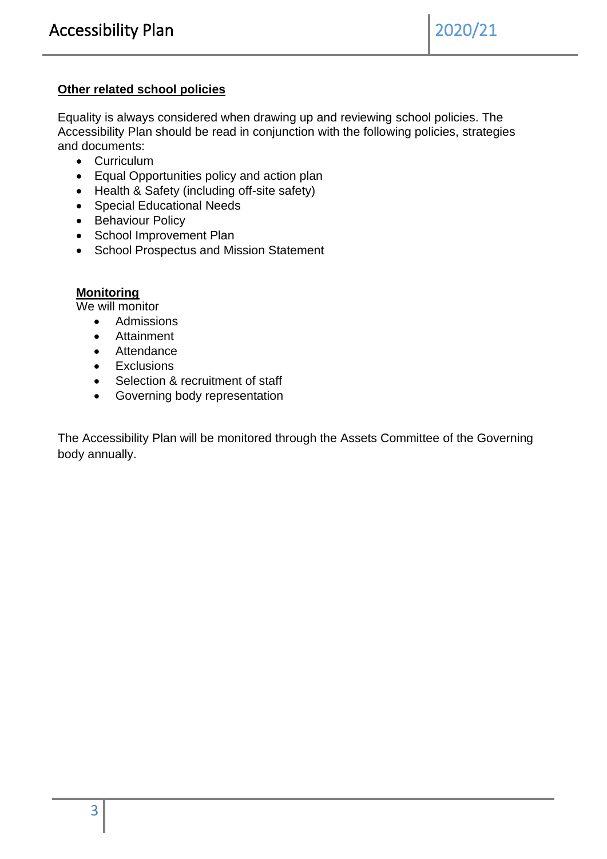#### **Other related school policies**

Equality is always considered when drawing up and reviewing school policies. The Accessibility Plan should be read in conjunction with the following policies, strategies and documents:

- Curriculum
- Equal Opportunities policy and action plan
- Health & Safety (including off-site safety)
- Special Educational Needs
- Behaviour Policy
- School Improvement Plan
- School Prospectus and Mission Statement

#### **Monitoring**

We will monitor

- Admissions
- Attainment
- Attendance
- Exclusions
- Selection & recruitment of staff
- Governing body representation

The Accessibility Plan will be monitored through the Assets Committee of the Governing body annually.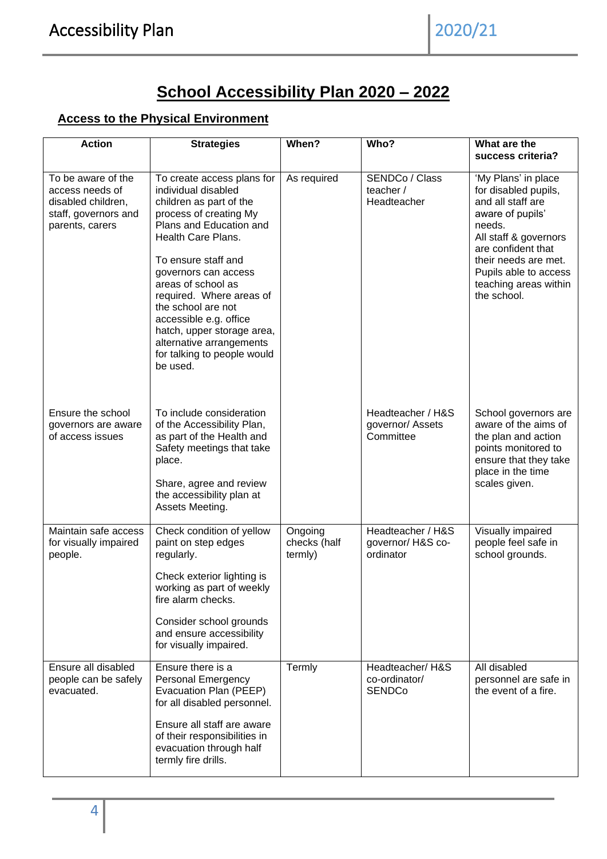# **School Accessibility Plan 2020 – 2022**

### **Access to the Physical Environment**

| <b>Action</b>                                                                                          | <b>Strategies</b>                                                                                                                                                                                                                                                                                                                                                                                             | When?                              | Who?                                               | What are the<br>success criteria?                                                                                                                                                                                                      |
|--------------------------------------------------------------------------------------------------------|---------------------------------------------------------------------------------------------------------------------------------------------------------------------------------------------------------------------------------------------------------------------------------------------------------------------------------------------------------------------------------------------------------------|------------------------------------|----------------------------------------------------|----------------------------------------------------------------------------------------------------------------------------------------------------------------------------------------------------------------------------------------|
| To be aware of the<br>access needs of<br>disabled children,<br>staff, governors and<br>parents, carers | To create access plans for<br>individual disabled<br>children as part of the<br>process of creating My<br>Plans and Education and<br>Health Care Plans.<br>To ensure staff and<br>governors can access<br>areas of school as<br>required. Where areas of<br>the school are not<br>accessible e.g. office<br>hatch, upper storage area,<br>alternative arrangements<br>for talking to people would<br>be used. | As required                        | SENDCo / Class<br>teacher /<br>Headteacher         | 'My Plans' in place<br>for disabled pupils,<br>and all staff are<br>aware of pupils'<br>needs.<br>All staff & governors<br>are confident that<br>their needs are met.<br>Pupils able to access<br>teaching areas within<br>the school. |
| Ensure the school<br>governors are aware<br>of access issues                                           | To include consideration<br>of the Accessibility Plan,<br>as part of the Health and<br>Safety meetings that take<br>place.<br>Share, agree and review<br>the accessibility plan at<br>Assets Meeting.                                                                                                                                                                                                         |                                    | Headteacher / H&S<br>governor/ Assets<br>Committee | School governors are<br>aware of the aims of<br>the plan and action<br>points monitored to<br>ensure that they take<br>place in the time<br>scales given.                                                                              |
| Maintain safe access<br>for visually impaired<br>people.                                               | Check condition of yellow<br>paint on step edges<br>regularly.<br>Check exterior lighting is<br>working as part of weekly<br>fire alarm checks.<br>Consider school grounds<br>and ensure accessibility<br>for visually impaired.                                                                                                                                                                              | Ongoing<br>checks (half<br>termly) | Headteacher / H&S<br>governor/H&S co-<br>ordinator | Visually impaired<br>people feel safe in<br>school grounds.                                                                                                                                                                            |
| Ensure all disabled<br>people can be safely<br>evacuated.                                              | Ensure there is a<br><b>Personal Emergency</b><br>Evacuation Plan (PEEP)<br>for all disabled personnel.<br>Ensure all staff are aware<br>of their responsibilities in<br>evacuation through half<br>termly fire drills.                                                                                                                                                                                       | Termly                             | Headteacher/H&S<br>co-ordinator/<br><b>SENDCo</b>  | All disabled<br>personnel are safe in<br>the event of a fire.                                                                                                                                                                          |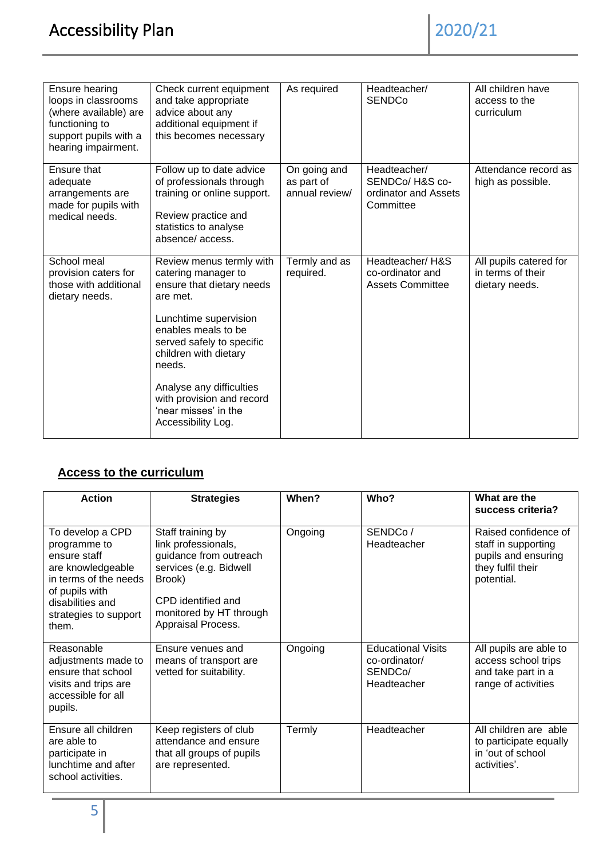| Ensure hearing<br>loops in classrooms<br>(where available) are<br>functioning to<br>support pupils with a<br>hearing impairment. | Check current equipment<br>and take appropriate<br>advice about any<br>additional equipment if<br>this becomes necessary                                                                                 | As required                                  | Headteacher/<br><b>SENDCo</b>                                        | All children have<br>access to the<br>curriculum              |
|----------------------------------------------------------------------------------------------------------------------------------|----------------------------------------------------------------------------------------------------------------------------------------------------------------------------------------------------------|----------------------------------------------|----------------------------------------------------------------------|---------------------------------------------------------------|
| Ensure that<br>adequate<br>arrangements are<br>made for pupils with<br>medical needs.                                            | Follow up to date advice<br>of professionals through<br>training or online support.<br>Review practice and<br>statistics to analyse<br>absence/access.                                                   | On going and<br>as part of<br>annual review/ | Headteacher/<br>SENDCo/ H&S co-<br>ordinator and Assets<br>Committee | Attendance record as<br>high as possible.                     |
| School meal<br>provision caters for<br>those with additional<br>dietary needs.                                                   | Review menus termly with<br>catering manager to<br>ensure that dietary needs<br>are met.<br>Lunchtime supervision<br>enables meals to be<br>served safely to specific<br>children with dietary<br>needs. | Termly and as<br>required.                   | Headteacher/H&S<br>co-ordinator and<br><b>Assets Committee</b>       | All pupils catered for<br>in terms of their<br>dietary needs. |
|                                                                                                                                  | Analyse any difficulties<br>with provision and record<br>'near misses' in the<br>Accessibility Log.                                                                                                      |                                              |                                                                      |                                                               |

## **Access to the curriculum**

| <b>Action</b>                                                                                                                                                          | <b>Strategies</b>                                                                                                                                                             | When?   | Who?                                                                 | What are the<br>success criteria?                                                                     |
|------------------------------------------------------------------------------------------------------------------------------------------------------------------------|-------------------------------------------------------------------------------------------------------------------------------------------------------------------------------|---------|----------------------------------------------------------------------|-------------------------------------------------------------------------------------------------------|
| To develop a CPD<br>programme to<br>ensure staff<br>are knowledgeable<br>in terms of the needs<br>of pupils with<br>disabilities and<br>strategies to support<br>them. | Staff training by<br>link professionals,<br>guidance from outreach<br>services (e.g. Bidwell<br>Brook)<br>CPD identified and<br>monitored by HT through<br>Appraisal Process. | Ongoing | SENDCo/<br>Headteacher                                               | Raised confidence of<br>staff in supporting<br>pupils and ensuring<br>they fulfil their<br>potential. |
| Reasonable<br>adjustments made to<br>ensure that school<br>visits and trips are<br>accessible for all<br>pupils.                                                       | Ensure venues and<br>means of transport are<br>vetted for suitability.                                                                                                        | Ongoing | <b>Educational Visits</b><br>co-ordinator/<br>SENDCo/<br>Headteacher | All pupils are able to<br>access school trips<br>and take part in a<br>range of activities            |
| Ensure all children<br>are able to<br>participate in<br>lunchtime and after<br>school activities.                                                                      | Keep registers of club<br>attendance and ensure<br>that all groups of pupils<br>are represented.                                                                              | Termly  | Headteacher                                                          | All children are able<br>to participate equally<br>in 'out of school<br>activities'.                  |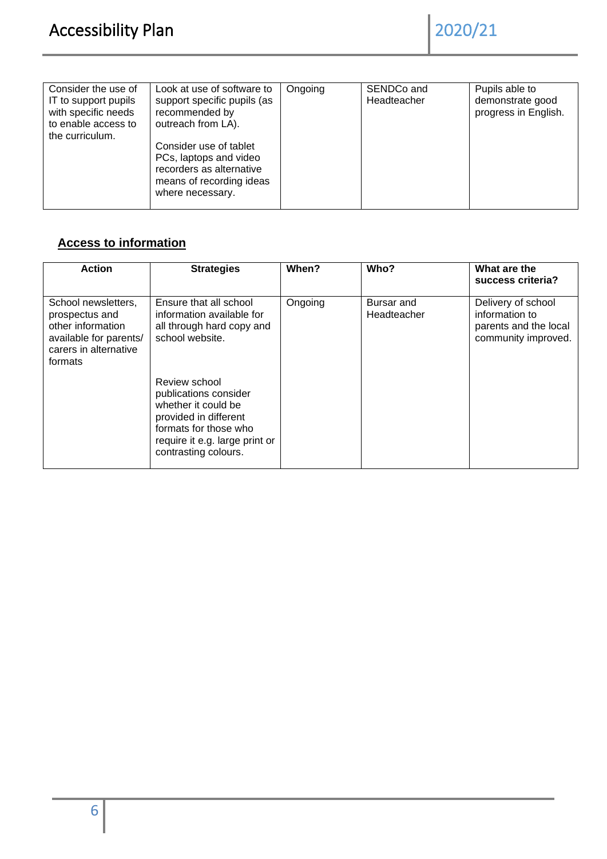| Consider the use of<br>IT to support pupils<br>with specific needs<br>to enable access to<br>the curriculum. | Look at use of software to<br>support specific pupils (as<br>recommended by<br>outreach from LA).<br>Consider use of tablet<br>PCs, laptops and video<br>recorders as alternative<br>means of recording ideas<br>where necessary. | Ongoing | SENDCo and<br>Headteacher | Pupils able to<br>demonstrate good<br>progress in English. |
|--------------------------------------------------------------------------------------------------------------|-----------------------------------------------------------------------------------------------------------------------------------------------------------------------------------------------------------------------------------|---------|---------------------------|------------------------------------------------------------|
|                                                                                                              |                                                                                                                                                                                                                                   |         |                           |                                                            |

# **Access to information**

| <b>Action</b>                                                                                                            | <b>Strategies</b>                                                                                                                                                         | When?   | Who?                      | What are the<br>success criteria?                                                    |
|--------------------------------------------------------------------------------------------------------------------------|---------------------------------------------------------------------------------------------------------------------------------------------------------------------------|---------|---------------------------|--------------------------------------------------------------------------------------|
| School newsletters,<br>prospectus and<br>other information<br>available for parents/<br>carers in alternative<br>formats | Ensure that all school<br>information available for<br>all through hard copy and<br>school website.                                                                       | Ongoing | Bursar and<br>Headteacher | Delivery of school<br>information to<br>parents and the local<br>community improved. |
|                                                                                                                          | Review school<br>publications consider<br>whether it could be<br>provided in different<br>formats for those who<br>require it e.g. large print or<br>contrasting colours. |         |                           |                                                                                      |